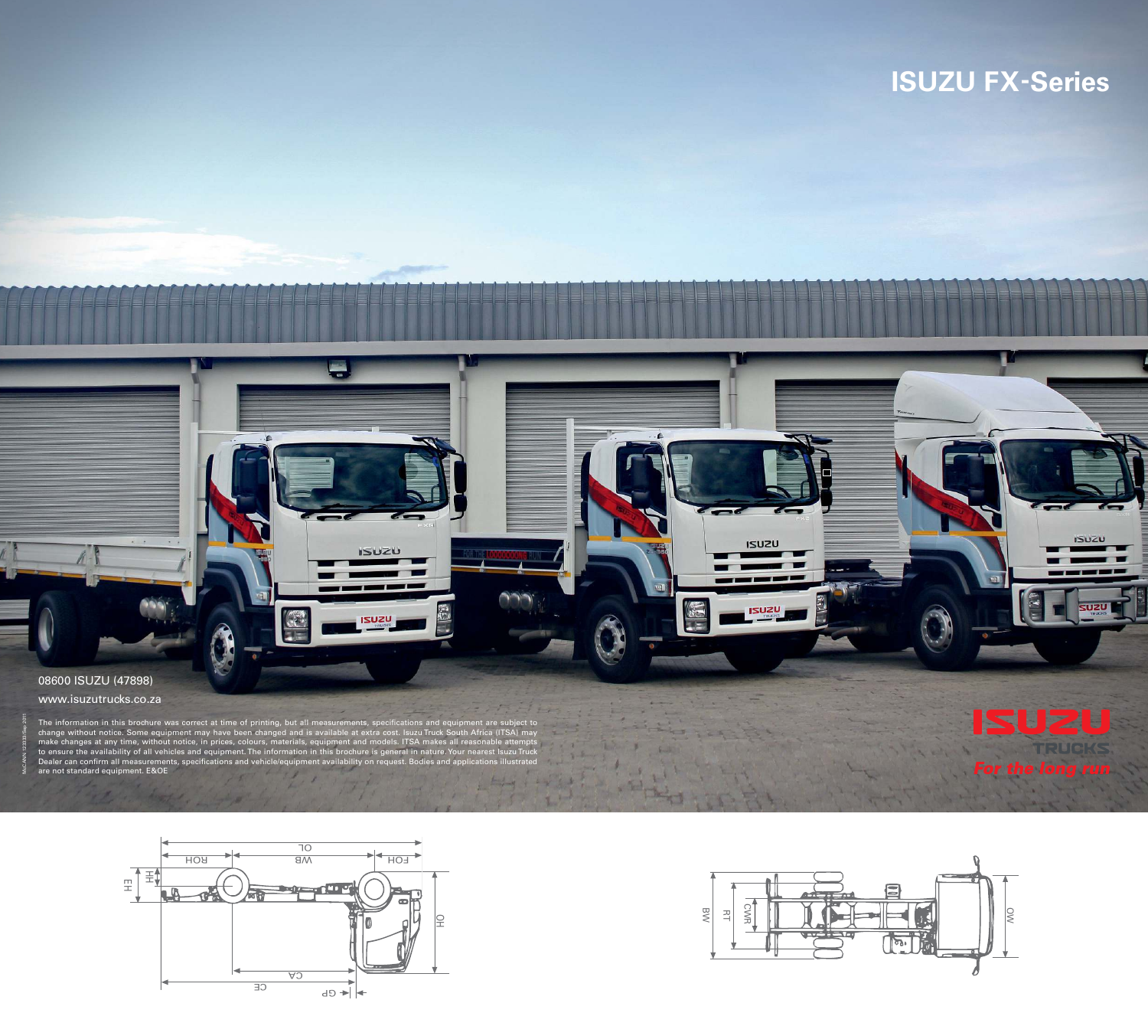

www.isuzutrucks.co.za

## **ISUZU FX-Series**



The information in this brochure was correct at time of printing, but all measurements, specifications and equipment are subject to change without notice. Some equipment may have been changed and is available at extra cost. Isuzu Truck South Africa (ITSA) may make changes at any time, without notice, in prices, colours, materials, equipment and models. ITSA makes all reasonable attempts to ensure the availability of all vehicles and equipment. The information in this brochure is general in nature. Your nearest Isuzu Truck Dealer can conirm all measurements, speciications and vehicle/equipment availability on request. Bodies and applications illustrated are not standard equipment. E&OE



**ISUZU** 

**USUZU** 

 $\triangle$ 





ISUZU

**ISUZU**